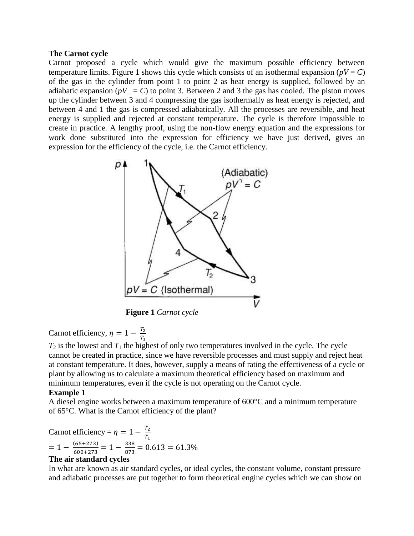#### **The Carnot cycle**

Carnot proposed a cycle which would give the maximum possible efficiency between temperature limits. Figure 1 shows this cycle which consists of an isothermal expansion  $(pV = C)$ of the gas in the cylinder from point 1 to point 2 as heat energy is supplied, followed by an adiabatic expansion ( $pV = C$ ) to point 3. Between 2 and 3 the gas has cooled. The piston moves up the cylinder between 3 and 4 compressing the gas isothermally as heat energy is rejected, and between 4 and 1 the gas is compressed adiabatically. All the processes are reversible, and heat energy is supplied and rejected at constant temperature. The cycle is therefore impossible to create in practice. A lengthy proof, using the non-flow energy equation and the expressions for work done substituted into the expression for efficiency we have just derived, gives an expression for the efficiency of the cycle, i.e. the Carnot efficiency.



 **Figure 1** *Carnot cycle*

Carnot efficiency,  $\eta = 1 - \frac{T_1}{T_2}$  $\overline{T}$ 

 $T_2$  is the lowest and  $T_1$  the highest of only two temperatures involved in the cycle. The cycle cannot be created in practice, since we have reversible processes and must supply and reject heat at constant temperature. It does, however, supply a means of rating the effectiveness of a cycle or plant by allowing us to calculate a maximum theoretical efficiency based on maximum and minimum temperatures, even if the cycle is not operating on the Carnot cycle.

## **Example 1**

A diesel engine works between a maximum temperature of 600°C and a minimum temperature of 65°C. What is the Carnot efficiency of the plant?

Carnot efficiency = 
$$
\eta = 1 - \frac{T_2}{T_1}
$$
  
=  $1 - \frac{(65 + 273)}{600 + 273} = 1 - \frac{338}{873} = 0.613 = 61.3\%$ 

## **The air standard cycles**

In what are known as air standard cycles, or ideal cycles, the constant volume, constant pressure and adiabatic processes are put together to form theoretical engine cycles which we can show on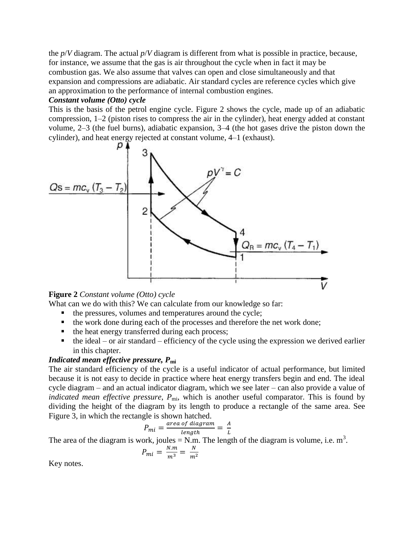the *p*/*V* diagram. The actual *p*/*V* diagram is different from what is possible in practice, because, for instance, we assume that the gas is air throughout the cycle when in fact it may be combustion gas. We also assume that valves can open and close simultaneously and that expansion and compressions are adiabatic. Air standard cycles are reference cycles which give an approximation to the performance of internal combustion engines.

## *Constant volume (Otto) cycle*

This is the basis of the petrol engine cycle. Figure 2 shows the cycle, made up of an adiabatic compression, 1–2 (piston rises to compress the air in the cylinder), heat energy added at constant volume, 2–3 (the fuel burns), adiabatic expansion, 3–4 (the hot gases drive the piston down the cylinder), and heat energy rejected at constant volume, 4–1 (exhaust).



# **Figure 2** *Constant volume (Otto) cycle*

What can we do with this? We can calculate from our knowledge so far:

- the pressures, volumes and temperatures around the cycle;
- the work done during each of the processes and therefore the net work done;
- $\blacksquare$  the heat energy transferred during each process;
- $\bullet$  the ideal or air standard efficiency of the cycle using the expression we derived earlier in this chapter.

# *Indicated mean effective pressure, P*<sub>mi</sub>

The air standard efficiency of the cycle is a useful indicator of actual performance, but limited because it is not easy to decide in practice where heat energy transfers begin and end. The ideal cycle diagram – and an actual indicator diagram, which we see later – can also provide a value of *indicated mean effective pressure, P*<sub>mi</sub>, which is another useful comparator. This is found by dividing the height of the diagram by its length to produce a rectangle of the same area. See Figure 3, in which the rectangle is shown hatched.

$$
P_{mi} = \frac{\text{area of diagram}}{\text{length}} = \frac{A}{L}
$$

The area of the diagram is work, joules = N.m. The length of the diagram is volume, i.e.  $m<sup>3</sup>$ .

$$
P_{mi} = \frac{N.m}{m^3} = \frac{N}{m^2}
$$

Key notes.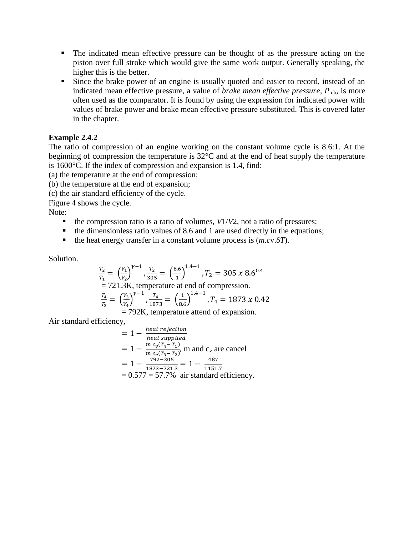- The indicated mean effective pressure can be thought of as the pressure acting on the piston over full stroke which would give the same work output. Generally speaking, the higher this is the better.
- Since the brake power of an engine is usually quoted and easier to record, instead of an indicated mean effective pressure, a value of *brake mean effective pressure*,  $P_{\text{mb}}$ , is more often used as the comparator. It is found by using the expression for indicated power with values of brake power and brake mean effective pressure substituted. This is covered later in the chapter.

# **Example 2.4.2**

The ratio of compression of an engine working on the constant volume cycle is 8.6:1. At the beginning of compression the temperature is 32°C and at the end of heat supply the temperature is 1600°C. If the index of compression and expansion is 1.4, find:

(a) the temperature at the end of compression;

(b) the temperature at the end of expansion;

(c) the air standard efficiency of the cycle.

Figure 4 shows the cycle.

Note:

- $\blacksquare$  the compression ratio is a ratio of volumes, *V*1/*V*2, not a ratio of pressures;
- $\blacksquare$  the dimensionless ratio values of 8.6 and 1 are used directly in the equations;
- the heat energy transfer in a constant volume process is  $(m.cv.\delta T)$ .

Solution.

$$
\frac{T_2}{T_1} = \left(\frac{V_1}{V_2}\right)^{\gamma - 1}, \frac{T_2}{305} = \left(\frac{8.6}{1}\right)^{1.4 - 1}, T_2 = 305 \times 8.6^{0.4}
$$
  
= 721.3K, temperature at end of compression.  

$$
\frac{T_4}{T_3} = \left(\frac{V_3}{V_4}\right)^{\gamma - 1}, \frac{T_4}{1873} = \left(\frac{1}{8.6}\right)^{1.4 - 1}, T_4 = 1873 \times 0.42
$$
  
= 792K, temperature attend of expansion.

Air standard efficiency,

$$
= 1 - \frac{heat \, rejection}{heat \, supplied}
$$
  
=  $1 - \frac{m.c_v(T_4 - T_1)}{m.c_v(T_3 - T_2)}$ , m and c<sub>v</sub> are cancel  
=  $1 - \frac{792 - 305}{1873 - 721.3} = 1 - \frac{487}{1151.7}$   
= 0.577 = 57.7% air standard efficiency.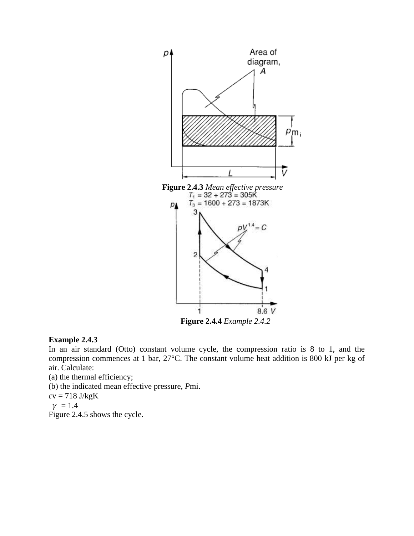

#### **Example 2.4.3**

In an air standard (Otto) constant volume cycle, the compression ratio is 8 to 1, and the compression commences at 1 bar, 27°C. The constant volume heat addition is 800 kJ per kg of air. Calculate:

(a) the thermal efficiency; (b) the indicated mean effective pressure, *P*mi. *c*v = 718 J/kgK  $\gamma = 1.4$ Figure 2.4.5 shows the cycle.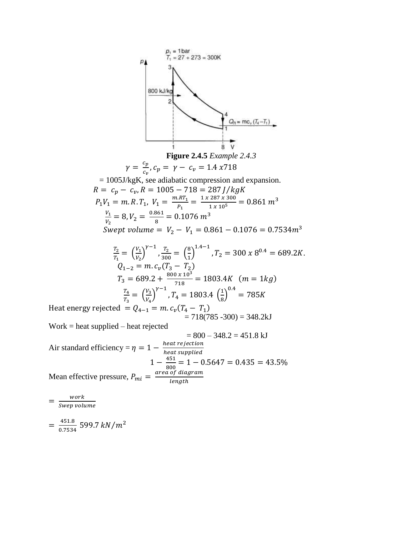$$
P_{1,1} = 27 + 273 = 300 \text{K}
$$
\n
$$
T_{1,2} = 27 + 273 = 300 \text{K}
$$
\n
$$
T_{2,1} = 27 + 273 = 300 \text{K}
$$
\n
$$
T_{3,2} = 300 \text{K}
$$
\n
$$
T_{4,1} = 27 + 273 = 300 \text{K}
$$
\n
$$
T_{5,1} = 287 + 273 = 300 \text{K}
$$
\n
$$
T_{6,1} = 24.5 \text{ Example 2.4.3}
$$
\n
$$
T_{7,1} = \frac{600 \text{ K}}{c_{v}} = 24.5 \text{ Example 2.4.3}
$$
\n
$$
T_{8,1} = 1005 \text{ J/kg K}
$$
\n
$$
P_{1}V_{1} = m. R. T_{1}, V_{1} = \frac{m. R T_{1}}{P_{1}} = \frac{1 \times 267 \times 300}{1 \times 10^{5}} = 0.861 \text{ m}^{3}
$$
\n
$$
\frac{V_{1}}{V_{2}} = 8, V_{2} = \frac{0.861}{8} = 0.1076 \text{ m}^{3}
$$
\n
$$
Swept \text{ volume} = V_{2} - V_{1} = 0.861 - 0.1076 = 0.7534 \text{ m}^{3}
$$
\n
$$
\frac{T_{2}}{T_{1}} = \left(\frac{V_{1}}{V_{2}}\right)^{Y-1}, \frac{T_{2}}{300} = \left(\frac{8}{1}\right)^{1.4-1}, T_{2} = 300 \times 8^{0.4} = 689.2 \text{K}.
$$
\n
$$
Q_{1-2} = m. c_{v} (T_{3} - T_{2})
$$
\n
$$
T_{3} = 689.2 + \frac{800 \times 10^{3}}{718} = 1803.4 \text{K} \quad (m = 1 \text{kg})
$$
\n
$$
\frac{T_{3}}{T_{3}} = \left(\frac{V_{3}}{V_{4}}\right)^{Y-1}, T_{4} = 1803.4 \text{K}
$$

S

 $=\frac{4}{0}$  $\frac{^{451.6}}{^{0.7534}}$  599.7 kN/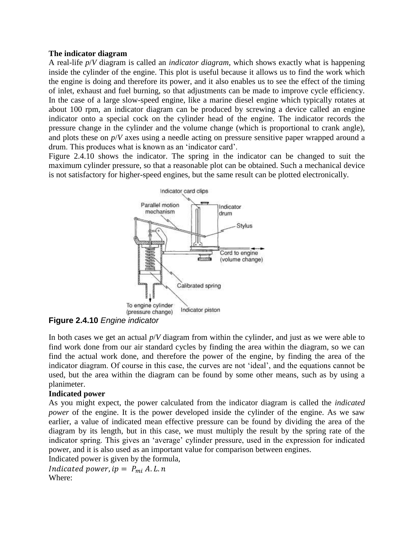#### **The indicator diagram**

A real-life *p*/*V* diagram is called an *indicator diagram*, which shows exactly what is happening inside the cylinder of the engine. This plot is useful because it allows us to find the work which the engine is doing and therefore its power, and it also enables us to see the effect of the timing of inlet, exhaust and fuel burning, so that adjustments can be made to improve cycle efficiency. In the case of a large slow-speed engine, like a marine diesel engine which typically rotates at about 100 rpm, an indicator diagram can be produced by screwing a device called an engine indicator onto a special cock on the cylinder head of the engine. The indicator records the pressure change in the cylinder and the volume change (which is proportional to crank angle), and plots these on *p*/*V* axes using a needle acting on pressure sensitive paper wrapped around a drum. This produces what is known as an 'indicator card'.

Figure 2.4.10 shows the indicator. The spring in the indicator can be changed to suit the maximum cylinder pressure, so that a reasonable plot can be obtained. Such a mechanical device is not satisfactory for higher-speed engines, but the same result can be plotted electronically.



# **Figure 2.4.10** *Engine indicator*

In both cases we get an actual *p*/*V* diagram from within the cylinder, and just as we were able to find work done from our air standard cycles by finding the area within the diagram, so we can find the actual work done, and therefore the power of the engine, by finding the area of the indicator diagram. Of course in this case, the curves are not 'ideal', and the equations cannot be used, but the area within the diagram can be found by some other means, such as by using a planimeter.

# **Indicated power**

As you might expect, the power calculated from the indicator diagram is called the *indicated power* of the engine. It is the power developed inside the cylinder of the engine. As we saw earlier, a value of indicated mean effective pressure can be found by dividing the area of the diagram by its length, but in this case, we must multiply the result by the spring rate of the indicator spring. This gives an 'average' cylinder pressure, used in the expression for indicated power, and it is also used as an important value for comparison between engines.

Indicated power is given by the formula,

Indicated power, ip =  $P_{mi}$  A.L.n Where: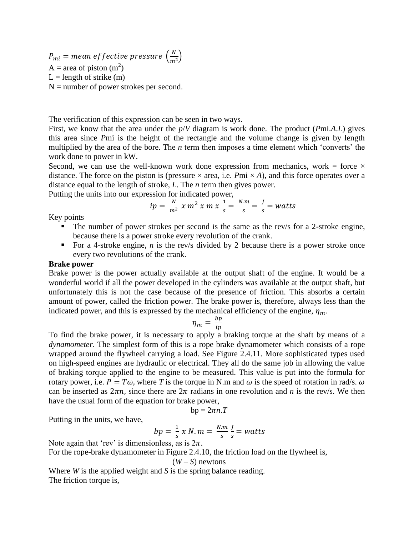$P_{mi}$  = mean effective pressure  $\left(\frac{N}{mi}\right)$  $\frac{N}{m^2}$ A = area of piston  $(m^2)$  $L =$  length of strike  $(m)$  $N =$  number of power strokes per second.

The verification of this expression can be seen in two ways.

First, we know that the area under the *p*/*V* diagram is work done. The product (*P*mi.*A*.*L*) gives this area since *P*mi is the height of the rectangle and the volume change is given by length multiplied by the area of the bore. The *n* term then imposes a time element which 'converts' the work done to power in kW.

Second, we can use the well-known work done expression from mechanics, work = force  $\times$ distance. The force on the piston is (pressure  $\times$  area, i.e. *Pmi*  $\times$  *A*), and this force operates over a distance equal to the length of stroke, *L*. The *n* term then gives power.

Putting the units into our expression for indicated power,

$$
ip = \frac{N}{m^2} x m^2 x m x \frac{1}{s} = \frac{N.m}{s} = \frac{I}{s} = watts
$$

Key points

- The number of power strokes per second is the same as the rev/s for a 2-stroke engine, because there is a power stroke every revolution of the crank.
- For a 4-stroke engine, *n* is the rev/s divided by 2 because there is a power stroke once every two revolutions of the crank.

#### **Brake power**

Brake power is the power actually available at the output shaft of the engine. It would be a wonderful world if all the power developed in the cylinders was available at the output shaft, but unfortunately this is not the case because of the presence of friction. This absorbs a certain amount of power, called the friction power. The brake power is, therefore, always less than the indicated power, and this is expressed by the mechanical efficiency of the engine,  $\eta_m$ .

$$
\eta_m = \frac{bp}{ip}
$$

To find the brake power, it is necessary to apply a braking torque at the shaft by means of a *dynamometer*. The simplest form of this is a rope brake dynamometer which consists of a rope wrapped around the flywheel carrying a load. See Figure 2.4.11. More sophisticated types used on high-speed engines are hydraulic or electrical. They all do the same job in allowing the value of braking torque applied to the engine to be measured. This value is put into the formula for rotary power, i.e.  $P = T\omega$ , where T is the torque in N.m and  $\omega$  is the speed of rotation in rad/s.  $\omega$ can be inserted as  $2\pi n$ , since there are  $2\pi$  radians in one revolution and *n* is the rev/s. We then have the usual form of the equation for brake power,

$$
bp = 2\pi n.T
$$

Putting in the units, we have,

$$
bp = \frac{1}{s} x N.m = \frac{N.m}{s} \frac{1}{s} = watts
$$

Note again that 'rev' is dimensionless, as is  $2\pi$ .

For the rope-brake dynamometer in Figure 2.4.10, the friction load on the flywheel is,

$$
(W-S)
$$
 newtons

Where *W* is the applied weight and *S* is the spring balance reading. The friction torque is,